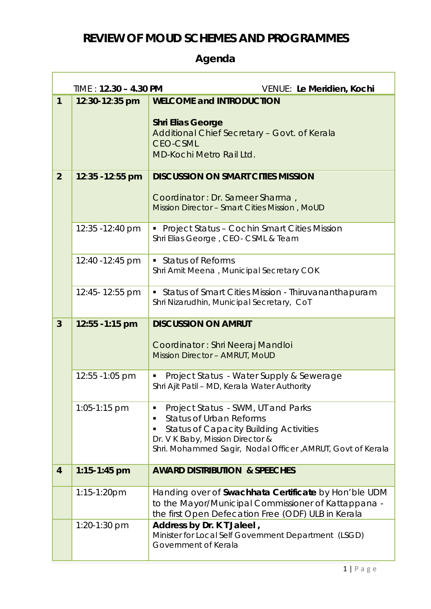## **REVIEW OF MOUD SCHEMES AND PROGRAMMES**

## **Agenda**

Г

|                | $TIME: 12.30 - 4.30 PM$<br>VENUE: Le Meridien, Kochi |                                                                                                                                                                   |  |
|----------------|------------------------------------------------------|-------------------------------------------------------------------------------------------------------------------------------------------------------------------|--|
| $\mathbf{1}$   | 12:30-12:35 pm                                       | <b>WELCOME and INTRODUCTION</b>                                                                                                                                   |  |
|                |                                                      | <b>Shri Elias George</b><br>Additional Chief Secretary - Govt. of Kerala<br><b>CEO-CSML</b><br><b>MD-Kochi Metro Rail Ltd.</b>                                    |  |
| $\overline{2}$ | 12:35 - 12:55 pm                                     | <b>DISCUSSION ON SMART CITIES MISSION</b>                                                                                                                         |  |
|                |                                                      | Coordinator: Dr. Sameer Sharma,<br>Mission Director - Smart Cities Mission, MoUD                                                                                  |  |
|                | 12:35 - 12:40 pm                                     | • Project Status - Cochin Smart Cities Mission<br>Shri Elias George, CEO- CSML & Team                                                                             |  |
|                | 12:40 - 12:45 pm                                     | • Status of Reforms<br>Shri Amit Meena, Municipal Secretary COK                                                                                                   |  |
|                | 12:45-12:55 pm                                       | • Status of Smart Cities Mission - Thiruvananthapuram<br>Shri Nizarudhin, Municipal Secretary, CoT                                                                |  |
| $\overline{3}$ | 12:55 - 1:15 pm                                      | <b>DISCUSSION ON AMRUT</b>                                                                                                                                        |  |
|                |                                                      | Coordinator: Shri Neeraj Mandloi<br><b>Mission Director - AMRUT, MoUD</b>                                                                                         |  |
|                | 12:55 - 1:05 pm                                      | Project Status - Water Supply & Sewerage<br>Shri Ajit Patil - MD, Kerala Water Authority                                                                          |  |
|                | 1:05-1:15 pm                                         | Project Status - SWM, UT and Parks<br>ш                                                                                                                           |  |
|                |                                                      | <b>Status of Urban Reforms</b><br>٠<br><b>Status of Capacity Building Activities</b><br>٠                                                                         |  |
|                |                                                      | Dr. V K Baby, Mission Director &<br>Shri. Mohammed Sagir, Nodal Officer, AMRUT, Govt of Kerala                                                                    |  |
| $\overline{4}$ | $1:15 - 1:45$ pm                                     | <b>AWARD DISTRIBUTION &amp; SPEECHES</b>                                                                                                                          |  |
|                | $1:15 - 1:20$ pm                                     | Handing over of Swachhata Certificate by Hon'ble UDM<br>to the Mayor/Municipal Commissioner of Kattappana -<br>the first Open Defecation Free (ODF) ULB in Kerala |  |
|                | 1:20-1:30 pm                                         | Address by Dr. K T Jaleel,<br>Minister for Local Self Government Department (LSGD)<br>Government of Kerala                                                        |  |

٦